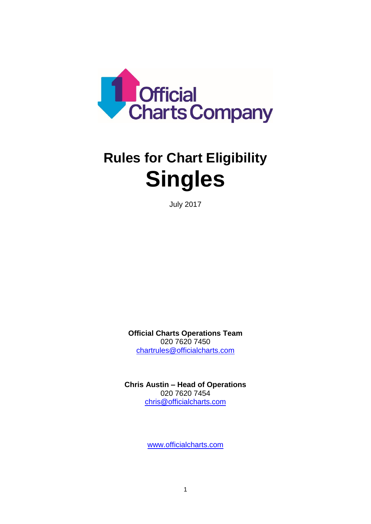

# **Rules for Chart Eligibility Singles**

July 2017

**Official Charts Operations Team** 020 7620 7450 [chartrules@officialcharts.com](mailto:chartrules@officialcharts.com)

**Chris Austin – Head of Operations** 020 7620 7454 [chris@officialcharts.com](mailto:chris@officialcharts.com)

www.officialcharts.com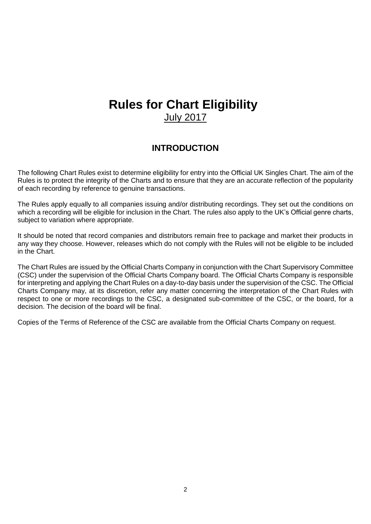## **Rules for Chart Eligibility** July 2017

#### **INTRODUCTION**

The following Chart Rules exist to determine eligibility for entry into the Official UK Singles Chart. The aim of the Rules is to protect the integrity of the Charts and to ensure that they are an accurate reflection of the popularity of each recording by reference to genuine transactions.

The Rules apply equally to all companies issuing and/or distributing recordings. They set out the conditions on which a recording will be eligible for inclusion in the Chart. The rules also apply to the UK's Official genre charts, subject to variation where appropriate.

It should be noted that record companies and distributors remain free to package and market their products in any way they choose. However, releases which do not comply with the Rules will not be eligible to be included in the Chart.

The Chart Rules are issued by the Official Charts Company in conjunction with the Chart Supervisory Committee (CSC) under the supervision of the Official Charts Company board. The Official Charts Company is responsible for interpreting and applying the Chart Rules on a day-to-day basis under the supervision of the CSC. The Official Charts Company may, at its discretion, refer any matter concerning the interpretation of the Chart Rules with respect to one or more recordings to the CSC, a designated sub-committee of the CSC, or the board, for a decision. The decision of the board will be final.

Copies of the Terms of Reference of the CSC are available from the Official Charts Company on request.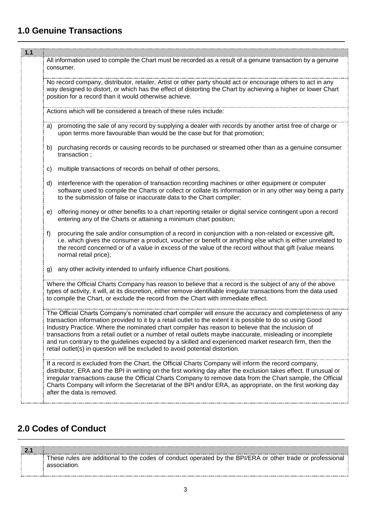### **1.0 Genuine Transactions**

| $1.1$ | All information used to compile the Chart must be recorded as a result of a genuine transaction by a genuine<br>consumer.                                                                                                                                                                                                                                                                                                                                                                                                                                                                                                           |
|-------|-------------------------------------------------------------------------------------------------------------------------------------------------------------------------------------------------------------------------------------------------------------------------------------------------------------------------------------------------------------------------------------------------------------------------------------------------------------------------------------------------------------------------------------------------------------------------------------------------------------------------------------|
|       | No record company, distributor, retailer, Artist or other party should act or encourage others to act in any<br>way designed to distort, or which has the effect of distorting the Chart by achieving a higher or lower Chart<br>position for a record than it would otherwise achieve.                                                                                                                                                                                                                                                                                                                                             |
|       | Actions which will be considered a breach of these rules include:                                                                                                                                                                                                                                                                                                                                                                                                                                                                                                                                                                   |
|       | promoting the sale of any record by supplying a dealer with records by another artist free of charge or<br>a)<br>upon terms more favourable than would be the case but for that promotion;                                                                                                                                                                                                                                                                                                                                                                                                                                          |
|       | purchasing records or causing records to be purchased or streamed other than as a genuine consumer<br>b)<br>transaction;                                                                                                                                                                                                                                                                                                                                                                                                                                                                                                            |
|       | multiple transactions of records on behalf of other persons,<br>c)                                                                                                                                                                                                                                                                                                                                                                                                                                                                                                                                                                  |
|       | interference with the operation of transaction recording machines or other equipment or computer<br>d)<br>software used to compile the Charts or collect or collate its information or in any other way being a party<br>to the submission of false or inaccurate data to the Chart compiler;                                                                                                                                                                                                                                                                                                                                       |
|       | offering money or other benefits to a chart reporting retailer or digital service contingent upon a record<br>e)<br>entering any of the Charts or attaining a minimum chart position;                                                                                                                                                                                                                                                                                                                                                                                                                                               |
|       | procuring the sale and/or consumption of a record in conjunction with a non-related or excessive gift,<br>f)<br>i.e. which gives the consumer a product, voucher or benefit or anything else which is either unrelated to<br>the record concerned or of a value in excess of the value of the record without that gift (value means<br>normal retail price);                                                                                                                                                                                                                                                                        |
|       | any other activity intended to unfairly influence Chart positions.<br>g)                                                                                                                                                                                                                                                                                                                                                                                                                                                                                                                                                            |
|       | Where the Official Charts Company has reason to believe that a record is the subject of any of the above<br>types of activity, it will, at its discretion, either remove identifiable irregular transactions from the data used<br>to compile the Chart, or exclude the record from the Chart with immediate effect.                                                                                                                                                                                                                                                                                                                |
|       | The Official Charts Company's nominated chart compiler will ensure the accuracy and completeness of any<br>transaction information provided to it by a retail outlet to the extent it is possible to do so using Good<br>Industry Practice. Where the nominated chart compiler has reason to believe that the inclusion of<br>transactions from a retail outlet or a number of retail outlets maybe inaccurate, misleading or incomplete<br>and run contrary to the guidelines expected by a skilled and experienced market research firm, then the<br>retail outlet(s) in question will be excluded to avoid potential distortion. |
|       | If a record is excluded from the Chart, the Official Charts Company will inform the record company,<br>distributor, ERA and the BPI in writing on the first working day after the exclusion takes effect. If unusual or<br>irregular transactions cause the Official Charts Company to remove data from the Chart sample, the Official<br>Charts Company will inform the Secretariat of the BPI and/or ERA, as appropriate, on the first working day<br>after the data is removed.                                                                                                                                                  |

\_\_\_\_\_\_\_\_\_\_\_\_\_\_\_\_\_\_\_\_\_\_\_\_\_\_\_\_\_\_\_\_\_\_\_\_\_\_\_\_\_\_\_\_\_\_\_\_\_\_\_\_\_\_\_\_\_\_\_\_\_\_\_\_\_\_\_\_\_\_\_\_\_\_\_\_\_\_\_\_\_\_\_\_\_\_\_\_\_\_\_\_\_\_\_\_\_\_\_\_\_\_\_\_\_\_\_

#### **2.0 Codes of Conduct**  $\_$  , and the set of the set of the set of the set of the set of the set of the set of the set of the set of the set of the set of the set of the set of the set of the set of the set of the set of the set of the set of th

| These rules are additional to the codes of conduct operated by the BPI/ERA or other trade or professional |
|-----------------------------------------------------------------------------------------------------------|
| association.                                                                                              |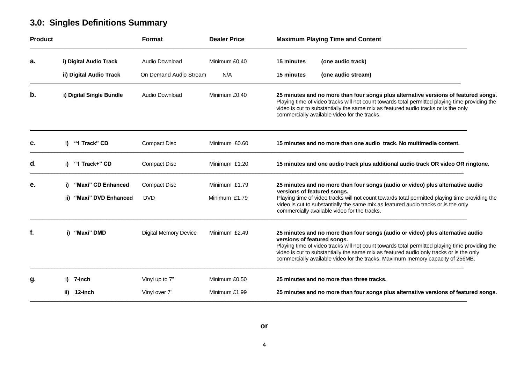### **3.0: Singles Definitions Summary**

| <b>Product</b> |      |                          | Format                       | <b>Dealer Price</b> |                             | <b>Maximum Playing Time and Content</b>                                                                                                                                                                                                                                                                                                                       |
|----------------|------|--------------------------|------------------------------|---------------------|-----------------------------|---------------------------------------------------------------------------------------------------------------------------------------------------------------------------------------------------------------------------------------------------------------------------------------------------------------------------------------------------------------|
| а.             |      | i) Digital Audio Track   | Audio Download               | Minimum £0.40       | <b>15 minutes</b>           | (one audio track)                                                                                                                                                                                                                                                                                                                                             |
|                |      | ii) Digital Audio Track  | On Demand Audio Stream       | N/A                 | 15 minutes                  | (one audio stream)                                                                                                                                                                                                                                                                                                                                            |
| b.             |      | i) Digital Single Bundle | Audio Download               | Minimum £0.40       |                             | 25 minutes and no more than four songs plus alternative versions of featured songs.<br>Playing time of video tracks will not count towards total permitted playing time providing the<br>video is cut to substantially the same mix as featured audio tracks or is the only<br>commercially available video for the tracks.                                   |
| C.             | i)   | "1 Track" CD             | <b>Compact Disc</b>          | Minimum £0.60       |                             | 15 minutes and no more than one audio track. No multimedia content.                                                                                                                                                                                                                                                                                           |
| d.             | i)   | "1 Track+" CD            | <b>Compact Disc</b>          | Minimum £1.20       |                             | 15 minutes and one audio track plus additional audio track OR video OR ringtone.                                                                                                                                                                                                                                                                              |
| е.             | i)   | "Maxi" CD Enhanced       | <b>Compact Disc</b>          | Minimum £1.79       | versions of featured songs. | 25 minutes and no more than four songs (audio or video) plus alternative audio                                                                                                                                                                                                                                                                                |
|                | ii)  | "Maxi" DVD Enhanced      | <b>DVD</b>                   | Minimum £1.79       |                             | Playing time of video tracks will not count towards total permitted playing time providing the<br>video is cut to substantially the same mix as featured audio tracks or is the only<br>commercially available video for the tracks.                                                                                                                          |
| f.             | i)   | "Maxi" DMD               | <b>Digital Memory Device</b> | Minimum £2.49       | versions of featured songs. | 25 minutes and no more than four songs (audio or video) plus alternative audio<br>Playing time of video tracks will not count towards total permitted playing time providing the<br>video is cut to substantially the same mix as featured audio only tracks or is the only<br>commercially available video for the tracks. Maximum memory capacity of 256MB. |
| g.             | i).  | 7-inch                   | Vinyl up to 7"               | Minimum £0.50       |                             | 25 minutes and no more than three tracks.                                                                                                                                                                                                                                                                                                                     |
|                | ii). | 12-inch                  | Vinyl over 7"                | Minimum £1.99       |                             | 25 minutes and no more than four songs plus alternative versions of featured songs.                                                                                                                                                                                                                                                                           |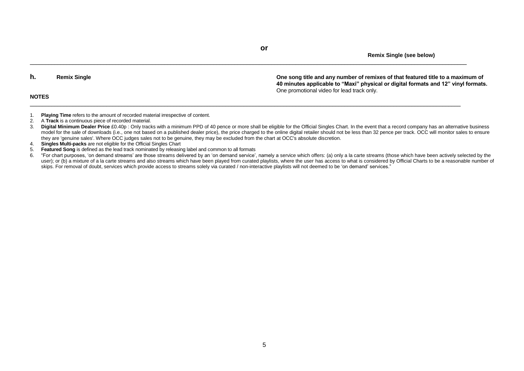**Remix Single (see below)**

**NOTES**

**h. Remix Single One song title and any number of remixes of that featured title to a maximum of 40 minutes applicable to "Maxi" physical or digital formats and 12" vinyl formats.** One promotional video for lead track only.

- 1. **Playing Time** refers to the amount of recorded material irrespective of content.<br>2. A Track is a continuous piece of recorded material.
- 2. A **Track** is a continuous piece of recorded material.
- 3. **Digital Minimum Dealer Price** £0.40p : Only tracks with a minimum PPD of 40 pence or more shall be eligible for the Official Singles Chart. In the event that a record company has an alternative business model for the sale of downloads (i.e., one not based on a published dealer price), the price charged to the online digital retailer should not be less than 32 pence per track. OCC will monitor sales to ensure they are 'genuine sales'. Where OCC judges sales not to be genuine, they may be excluded from the chart at OCC's absolute discretion.
- 4. **Singles Multi-packs** are not eligible for the Official Singles Chart
- 5. **Featured Song** is defined as the lead track nominated by releasing label and common to all formats
- 6. "For chart purposes, 'on demand streams' are those streams delivered by an 'on demand service', namely a service which offers: (a) only a la carte streams (those which have been actively selected by the user); or (b) a mixture of a la carte streams and also streams which have been played from curated playlists, where the user has access to what is considered by Official Charts to be a reasonable number of skips. For removal of doubt, services which provide access to streams solely via curated / non-interactive playlists will not deemed to be 'on demand' services."

**or**

 $\ldots \qquad$ 

\_\_\_\_\_\_\_\_\_\_\_\_\_\_\_\_\_\_\_\_\_\_\_\_\_\_\_\_\_\_\_\_\_\_\_\_\_\_\_\_\_\_\_\_\_\_\_\_\_\_\_\_\_\_\_\_\_\_\_\_\_\_\_\_\_\_\_\_\_\_\_\_\_\_\_\_\_\_\_\_\_\_\_\_\_\_\_\_\_\_\_\_\_\_\_\_\_\_\_\_\_\_\_\_\_\_\_\_\_\_\_\_\_\_\_\_\_\_\_\_\_\_\_\_\_\_\_\_\_\_\_\_\_\_\_\_\_\_\_\_\_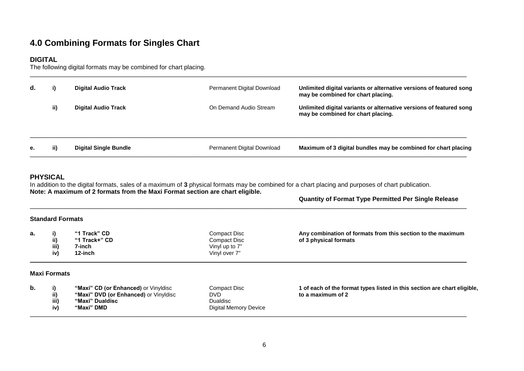### **4.0 Combining Formats for Singles Chart**

#### **DIGITAL**

The following digital formats may be combined for chart placing.

| d. | i)  | <b>Digital Audio Track</b>   | Permanent Digital Download | Unlimited digital variants or alternative versions of featured song<br>may be combined for chart placing. |
|----|-----|------------------------------|----------------------------|-----------------------------------------------------------------------------------------------------------|
|    | ii) | <b>Digital Audio Track</b>   | On Demand Audio Stream     | Unlimited digital variants or alternative versions of featured song<br>may be combined for chart placing. |
|    |     |                              |                            |                                                                                                           |
| е. | ii) | <b>Digital Single Bundle</b> | Permanent Digital Download | Maximum of 3 digital bundles may be combined for chart placing                                            |

\_\_\_\_\_\_\_\_\_\_\_\_\_\_\_\_\_\_\_\_\_\_\_\_\_\_\_\_\_\_\_\_\_\_\_\_\_\_\_\_\_\_\_\_\_\_\_\_\_\_\_\_\_\_\_\_\_\_\_\_\_\_\_\_\_\_\_\_\_\_\_\_\_\_\_\_\_\_\_\_\_\_\_\_\_\_\_\_\_\_\_\_\_\_\_\_\_\_\_\_\_\_\_\_\_\_\_\_\_\_\_\_\_\_\_\_\_\_\_\_\_\_\_\_\_\_\_\_\_\_\_\_\_\_\_\_\_\_\_\_\_\_\_

#### **PHYSICAL**

In addition to the digital formats, sales of a maximum of **3** physical formats may be combined for a chart placing and purposes of chart publication. **Note: A maximum of 2 formats from the Maxi Format section are chart eligible.**

#### **Quantity of Format Type Permitted Per Single Release**

#### **Standard Formats**

| а. | ii)<br>iii)<br>iv)  | "1 Track" CD<br>"1 Track+" CD<br>7-inch<br>12-inch | Compact Disc<br>Compact Disc<br>Vinyl up to 7"<br>Vinyl over 7" | Any combination of formats from this section to the maximum<br>of 3 physical formats |
|----|---------------------|----------------------------------------------------|-----------------------------------------------------------------|--------------------------------------------------------------------------------------|
|    | <b>Maxi Formats</b> |                                                    |                                                                 |                                                                                      |

\_\_\_\_\_\_\_\_\_\_\_\_\_\_\_\_\_\_\_\_\_\_\_\_\_\_\_\_\_\_\_\_\_\_\_\_\_\_\_\_\_\_\_\_\_\_\_\_\_\_\_\_\_\_\_\_\_\_\_\_\_\_\_\_\_\_\_\_\_\_\_\_\_\_\_\_\_\_\_\_\_\_\_\_\_\_\_\_\_\_\_\_\_\_\_\_\_\_\_\_\_\_\_\_\_\_\_\_\_\_\_\_\_\_\_\_\_\_\_\_\_\_\_\_\_\_\_\_\_\_\_\_\_\_\_\_\_\_\_\_\_\_\_

| b. |      | "Maxi" CD (or Enhanced) or Vinyldisc  | Compact Disc          | 1 of each of the format types listed in this section are chart eligible, |
|----|------|---------------------------------------|-----------------------|--------------------------------------------------------------------------|
|    | ii)  | "Maxi" DVD (or Enhanced) or Vinyldisc | DVD                   | to a maximum of 2                                                        |
|    | iii) | "Maxi" Dualdisc                       | Dualdisc              |                                                                          |
|    | iv)  | "Maxi" DMD                            | Digital Memory Device |                                                                          |
|    |      |                                       |                       |                                                                          |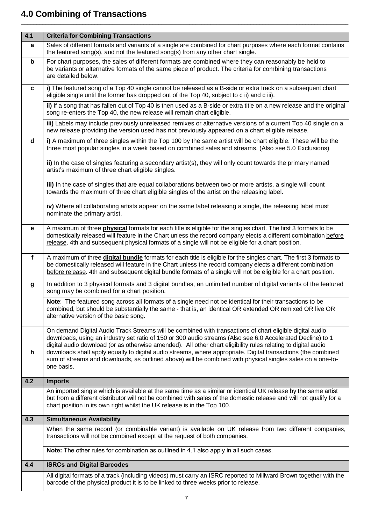### **4.0 Combining of Transactions**

| 4.1              | <b>Criteria for Combining Transactions</b>                                                                                                                                                                                                                                                                                                                                                                                                                                                                                                                                           |
|------------------|--------------------------------------------------------------------------------------------------------------------------------------------------------------------------------------------------------------------------------------------------------------------------------------------------------------------------------------------------------------------------------------------------------------------------------------------------------------------------------------------------------------------------------------------------------------------------------------|
| a                | Sales of different formats and variants of a single are combined for chart purposes where each format contains<br>the featured song(s), and not the featured song(s) from any other chart single.                                                                                                                                                                                                                                                                                                                                                                                    |
| $\mathbf b$      | For chart purposes, the sales of different formats are combined where they can reasonably be held to<br>be variants or alternative formats of the same piece of product. The criteria for combining transactions<br>are detailed below.                                                                                                                                                                                                                                                                                                                                              |
| C                | i) The featured song of a Top 40 single cannot be released as a B-side or extra track on a subsequent chart<br>eligible single until the former has dropped out of the Top 40, subject to c ii) and c iii).                                                                                                                                                                                                                                                                                                                                                                          |
|                  | ii) If a song that has fallen out of Top 40 is then used as a B-side or extra title on a new release and the original<br>song re-enters the Top 40, the new release will remain chart eligible.                                                                                                                                                                                                                                                                                                                                                                                      |
|                  | iii) Labels may include previously unreleased remixes or alternative versions of a current Top 40 single on a<br>new release providing the version used has not previously appeared on a chart eligible release.                                                                                                                                                                                                                                                                                                                                                                     |
| d                | i) A maximum of three singles within the Top 100 by the same artist will be chart eligible. These will be the<br>three most popular singles in a week based on combined sales and streams. (Also see 5.0 Exclusions)                                                                                                                                                                                                                                                                                                                                                                 |
|                  | ii) In the case of singles featuring a secondary artist(s), they will only count towards the primary named<br>artist's maximum of three chart eligible singles.                                                                                                                                                                                                                                                                                                                                                                                                                      |
|                  | iii) In the case of singles that are equal collaborations between two or more artists, a single will count<br>towards the maximum of three chart eligible singles of the artist on the releasing label.                                                                                                                                                                                                                                                                                                                                                                              |
|                  | iv) Where all collaborating artists appear on the same label releasing a single, the releasing label must<br>nominate the primary artist.                                                                                                                                                                                                                                                                                                                                                                                                                                            |
| е                | A maximum of three physical formats for each title is eligible for the singles chart. The first 3 formats to be<br>domestically released will feature in the Chart unless the record company elects a different combination before<br>release. 4th and subsequent physical formats of a single will not be eligible for a chart position.                                                                                                                                                                                                                                            |
| f                | A maximum of three digital bundle formats for each title is eligible for the singles chart. The first 3 formats to<br>be domestically released will feature in the Chart unless the record company elects a different combination<br>before release. 4th and subsequent digital bundle formats of a single will not be eligible for a chart position.                                                                                                                                                                                                                                |
| $\boldsymbol{g}$ | In addition to 3 physical formats and 3 digital bundles, an unlimited number of digital variants of the featured<br>song may be combined for a chart position.                                                                                                                                                                                                                                                                                                                                                                                                                       |
|                  | Note: The featured song across all formats of a single need not be identical for their transactions to be<br>combined, but should be substantially the same - that is, an identical OR extended OR remixed OR live OR<br>alternative version of the basic song.                                                                                                                                                                                                                                                                                                                      |
| h                | On demand Digital Audio Track Streams will be combined with transactions of chart eligible digital audio<br>downloads, using an industry set ratio of 150 or 300 audio streams (Also see 6.0 Accelerated Decline) to 1<br>digital audio download (or as otherwise amended). All other chart eligibility rules relating to digital audio<br>downloads shall apply equally to digital audio streams, where appropriate. Digital transactions (the combined<br>sum of streams and downloads, as outlined above) will be combined with physical singles sales on a one-to-<br>one basis. |
|                  |                                                                                                                                                                                                                                                                                                                                                                                                                                                                                                                                                                                      |
| 4.2              | <b>Imports</b><br>An imported single which is available at the same time as a similar or identical UK release by the same artist                                                                                                                                                                                                                                                                                                                                                                                                                                                     |
|                  | but from a different distributor will not be combined with sales of the domestic release and will not qualify for a<br>chart position in its own right whilst the UK release is in the Top 100.                                                                                                                                                                                                                                                                                                                                                                                      |
| 4.3              | <b>Simultaneous Availability</b>                                                                                                                                                                                                                                                                                                                                                                                                                                                                                                                                                     |
|                  | When the same record (or combinable variant) is available on UK release from two different companies,<br>transactions will not be combined except at the request of both companies.                                                                                                                                                                                                                                                                                                                                                                                                  |
|                  | Note: The other rules for combination as outlined in 4.1 also apply in all such cases.                                                                                                                                                                                                                                                                                                                                                                                                                                                                                               |
| 4.4              | <b>ISRCs and Digital Barcodes</b>                                                                                                                                                                                                                                                                                                                                                                                                                                                                                                                                                    |
|                  | All digital formats of a track (including videos) must carry an ISRC reported to Millward Brown together with the<br>barcode of the physical product it is to be linked to three weeks prior to release.                                                                                                                                                                                                                                                                                                                                                                             |

\_\_\_\_\_\_\_\_\_\_\_\_\_\_\_\_\_\_\_\_\_\_\_\_\_\_\_\_\_\_\_\_\_\_\_\_\_\_\_\_\_\_\_\_\_\_\_\_\_\_\_\_\_\_\_\_\_\_\_\_\_\_\_\_\_\_\_\_\_\_\_\_\_\_\_\_\_\_\_\_\_\_\_\_\_\_\_\_\_\_\_\_\_\_\_\_\_\_\_\_\_\_\_\_\_\_\_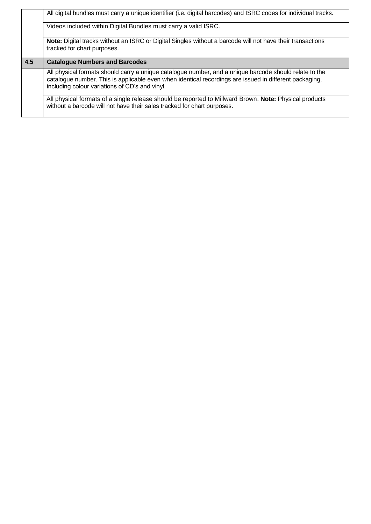|     | All digital bundles must carry a unique identifier (i.e. digital barcodes) and ISRC codes for individual tracks.                                                                                                                                                   |
|-----|--------------------------------------------------------------------------------------------------------------------------------------------------------------------------------------------------------------------------------------------------------------------|
|     | Videos included within Digital Bundles must carry a valid ISRC.                                                                                                                                                                                                    |
|     | Note: Digital tracks without an ISRC or Digital Singles without a barcode will not have their transactions<br>tracked for chart purposes.                                                                                                                          |
| 4.5 |                                                                                                                                                                                                                                                                    |
|     | <b>Catalogue Numbers and Barcodes</b>                                                                                                                                                                                                                              |
|     | All physical formats should carry a unique catalogue number, and a unique barcode should relate to the<br>catalogue number. This is applicable even when identical recordings are issued in different packaging,<br>including colour variations of CD's and vinyl. |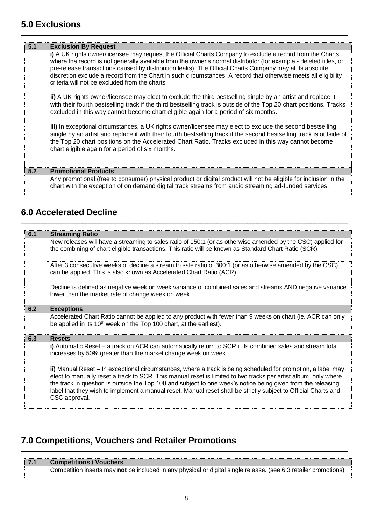### **5.0 Exclusions**

| 5.1 | <b>Exclusion By Request</b>                                                                                                                                                                                                                                                                                                                                                                                                                                                                                    |
|-----|----------------------------------------------------------------------------------------------------------------------------------------------------------------------------------------------------------------------------------------------------------------------------------------------------------------------------------------------------------------------------------------------------------------------------------------------------------------------------------------------------------------|
|     | i) A UK rights owner/licensee may request the Official Charts Company to exclude a record from the Charts<br>where the record is not generally available from the owner's normal distributor (for example - deleted titles, or<br>pre-release transactions caused by distribution leaks). The Official Charts Company may at its absolute<br>discretion exclude a record from the Chart in such circumstances. A record that otherwise meets all eligibility<br>criteria will not be excluded from the charts. |
|     | ii) A UK rights owner/licensee may elect to exclude the third bestselling single by an artist and replace it<br>with their fourth bestselling track if the third bestselling track is outside of the Top 20 chart positions. Tracks<br>excluded in this way cannot become chart eligible again for a period of six months.                                                                                                                                                                                     |
|     | iii) In exceptional circumstances, a UK rights owner/licensee may elect to exclude the second bestselling<br>single by an artist and replace it with their fourth bestselling track if the second bestselling track is outside of<br>the Top 20 chart positions on the Accelerated Chart Ratio. Tracks excluded in this way cannot become<br>chart eligible again for a period of six months.                                                                                                                  |
| 5.2 | <b>Promotional Products</b>                                                                                                                                                                                                                                                                                                                                                                                                                                                                                    |
|     | Any promotional (free to consumer) physical product or digital product will not be eligible for inclusion in the<br>chart with the exception of on demand digital track streams from audio streaming ad-funded services.                                                                                                                                                                                                                                                                                       |

\_\_\_\_\_\_\_\_\_\_\_\_\_\_\_\_\_\_\_\_\_\_\_\_\_\_\_\_\_\_\_\_\_\_\_\_\_\_\_\_\_\_\_\_\_\_\_\_\_\_\_\_\_\_\_\_\_\_\_\_\_\_\_\_\_\_\_\_\_\_\_\_\_\_\_\_\_\_\_\_\_\_\_\_\_\_\_\_\_\_\_\_\_\_\_\_\_\_\_\_\_\_\_\_\_\_\_

\_\_\_\_\_\_\_\_\_\_\_\_\_\_\_\_\_\_\_\_\_\_\_\_\_\_\_\_\_\_\_\_\_\_\_\_\_\_\_\_\_\_\_\_\_\_\_\_\_\_\_\_\_\_\_\_\_\_\_\_\_\_\_\_\_\_\_\_\_\_\_\_\_\_\_\_\_\_\_\_\_\_\_\_\_\_\_\_\_\_\_\_\_\_\_\_\_\_\_\_\_\_\_\_\_\_\_

### **6.0 Accelerated Decline**

| 6.1 | <b>Streaming Ratio</b>                                                                                                                                                                                                                                                                                                                                                                                                                                                              |
|-----|-------------------------------------------------------------------------------------------------------------------------------------------------------------------------------------------------------------------------------------------------------------------------------------------------------------------------------------------------------------------------------------------------------------------------------------------------------------------------------------|
|     | New releases will have a streaming to sales ratio of 150:1 (or as otherwise amended by the CSC) applied for<br>the combining of chart eligible transactions. This ratio will be known as Standard Chart Ratio (SCR)                                                                                                                                                                                                                                                                 |
|     | After 3 consecutive weeks of decline a stream to sale ratio of 300:1 (or as otherwise amended by the CSC)<br>can be applied. This is also known as Accelerated Chart Ratio (ACR)                                                                                                                                                                                                                                                                                                    |
|     | Decline is defined as negative week on week variance of combined sales and streams AND negative variance<br>lower than the market rate of change week on week                                                                                                                                                                                                                                                                                                                       |
| 6.2 | <b>Exceptions</b>                                                                                                                                                                                                                                                                                                                                                                                                                                                                   |
|     | Accelerated Chart Ratio cannot be applied to any product with fewer than 9 weeks on chart (ie. ACR can only<br>be applied in its 10 <sup>th</sup> week on the Top 100 chart, at the earliest).                                                                                                                                                                                                                                                                                      |
| 6.3 | <b>Resets</b>                                                                                                                                                                                                                                                                                                                                                                                                                                                                       |
|     | i) Automatic Reset – a track on ACR can automatically return to SCR if its combined sales and stream total<br>increases by 50% greater than the market change week on week.                                                                                                                                                                                                                                                                                                         |
|     | ii) Manual Reset – In exceptional circumstances, where a track is being scheduled for promotion, a label may<br>elect to manually reset a track to SCR. This manual reset is limited to two tracks per artist album, only where<br>the track in question is outside the Top 100 and subject to one week's notice being given from the releasing<br>label that they wish to implement a manual reset. Manual reset shall be strictly subject to Official Charts and<br>CSC approval. |

### **7.0 Competitions, Vouchers and Retailer Promotions**

| <b>71</b> | Competitions / Vouchers                                                                                          |
|-----------|------------------------------------------------------------------------------------------------------------------|
|           | Competition inserts may not be included in any physical or digital single release. (see 6.3 retailer promotions) |

\_\_\_\_\_\_\_\_\_\_\_\_\_\_\_\_\_\_\_\_\_\_\_\_\_\_\_\_\_\_\_\_\_\_\_\_\_\_\_\_\_\_\_\_\_\_\_\_\_\_\_\_\_\_\_\_\_\_\_\_\_\_\_\_\_\_\_\_\_\_\_\_\_\_\_\_\_\_\_\_\_\_\_\_\_\_\_\_\_\_\_\_\_\_\_\_\_\_\_\_\_\_\_\_\_\_\_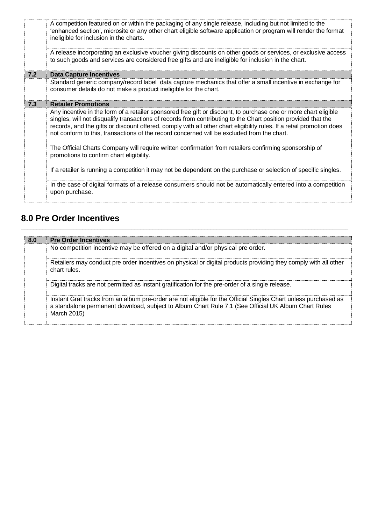|     | A competition featured on or within the packaging of any single release, including but not limited to the<br>'enhanced section', microsite or any other chart eligible software application or program will render the format<br>ineligible for inclusion in the charts.                                                                                                                                                                                 |
|-----|----------------------------------------------------------------------------------------------------------------------------------------------------------------------------------------------------------------------------------------------------------------------------------------------------------------------------------------------------------------------------------------------------------------------------------------------------------|
|     | A release incorporating an exclusive voucher giving discounts on other goods or services, or exclusive access<br>to such goods and services are considered free gifts and are ineligible for inclusion in the chart.                                                                                                                                                                                                                                     |
| 7.2 | Data Capture Incentives                                                                                                                                                                                                                                                                                                                                                                                                                                  |
|     | Standard generic company/record label data capture mechanics that offer a small incentive in exchange for<br>consumer details do not make a product ineligible for the chart.                                                                                                                                                                                                                                                                            |
| 7.3 | <b>Retailer Promotions</b>                                                                                                                                                                                                                                                                                                                                                                                                                               |
|     | Any incentive in the form of a retailer sponsored free gift or discount, to purchase one or more chart eligible<br>singles, will not disqualify transactions of records from contributing to the Chart position provided that the<br>records, and the gifts or discount offered, comply with all other chart eligibility rules. If a retail promotion does<br>not conform to this, transactions of the record concerned will be excluded from the chart. |
|     | The Official Charts Company will require written confirmation from retailers confirming sponsorship of<br>promotions to confirm chart eligibility.                                                                                                                                                                                                                                                                                                       |
|     | If a retailer is running a competition it may not be dependent on the purchase or selection of specific singles.                                                                                                                                                                                                                                                                                                                                         |
|     | In the case of digital formats of a release consumers should not be automatically entered into a competition<br>upon purchase.                                                                                                                                                                                                                                                                                                                           |

### **8.0 Pre Order Incentives**

| -8.0 | <b>Pre Order Incentives</b>                                                                                                                                                                                                           |  |
|------|---------------------------------------------------------------------------------------------------------------------------------------------------------------------------------------------------------------------------------------|--|
|      | No competition incentive may be offered on a digital and/or physical pre order.                                                                                                                                                       |  |
|      | Retailers may conduct pre order incentives on physical or digital products providing they comply with all other<br>chart rules.                                                                                                       |  |
|      | Digital tracks are not permitted as instant gratification for the pre-order of a single release.                                                                                                                                      |  |
|      | Instant Grat tracks from an album pre-order are not eligible for the Official Singles Chart unless purchased as<br>a standalone permanent download, subject to Album Chart Rule 7.1 (See Official UK Album Chart Rules<br>March 2015) |  |

\_\_\_\_\_\_\_\_\_\_\_\_\_\_\_\_\_\_\_\_\_\_\_\_\_\_\_\_\_\_\_\_\_\_\_\_\_\_\_\_\_\_\_\_\_\_\_\_\_\_\_\_\_\_\_\_\_\_\_\_\_\_\_\_\_\_\_\_\_\_\_\_\_\_\_\_\_\_\_\_\_\_\_\_\_\_\_\_\_\_\_\_\_\_\_\_\_\_\_\_\_\_\_\_\_\_\_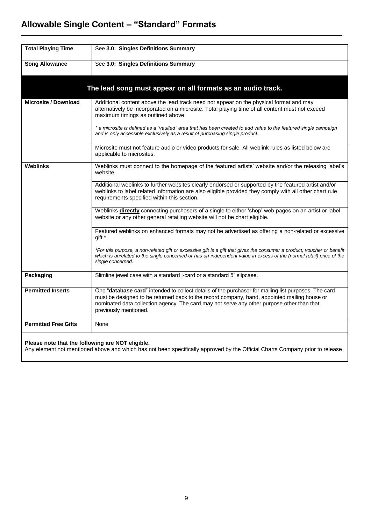### **Allowable Single Content – "Standard" Formats**

| <b>Total Playing Time</b>   | See 3.0: Singles Definitions Summary                                                                                                                                                                                                                                                                                        |
|-----------------------------|-----------------------------------------------------------------------------------------------------------------------------------------------------------------------------------------------------------------------------------------------------------------------------------------------------------------------------|
| <b>Song Allowance</b>       | See 3.0: Singles Definitions Summary                                                                                                                                                                                                                                                                                        |
|                             | The lead song must appear on all formats as an audio track.                                                                                                                                                                                                                                                                 |
| <b>Microsite / Download</b> | Additional content above the lead track need not appear on the physical format and may<br>alternatively be incorporated on a microsite. Total playing time of all content must not exceed<br>maximum timings as outlined above.                                                                                             |
|                             | * a microsite is defined as a "vaulted" area that has been created to add value to the featured single campaign<br>and is only accessible exclusively as a result of purchasing single product.                                                                                                                             |
|                             | Microsite must not feature audio or video products for sale. All weblink rules as listed below are<br>applicable to microsites.                                                                                                                                                                                             |
| Weblinks                    | Weblinks must connect to the homepage of the featured artists' website and/or the releasing label's<br>website.                                                                                                                                                                                                             |
|                             | Additional weblinks to further websites clearly endorsed or supported by the featured artist and/or<br>weblinks to label related information are also eligible provided they comply with all other chart rule<br>requirements specified within this section.                                                                |
|                             | Weblinks directly connecting purchasers of a single to either 'shop' web pages on an artist or label<br>website or any other general retailing website will not be chart eligible.                                                                                                                                          |
|                             | Featured weblinks on enhanced formats may not be advertised as offering a non-related or excessive<br>qift.*                                                                                                                                                                                                                |
|                             | *For this purpose, a non-related gift or excessive gift is a gift that gives the consumer a product, voucher or benefit<br>which is unrelated to the single concerned or has an independent value in excess of the (normal retail) price of the<br>single concerned.                                                        |
| Packaging                   | Slimline jewel case with a standard j-card or a standard 5" slipcase.                                                                                                                                                                                                                                                       |
| <b>Permitted Inserts</b>    | One "database card" intended to collect details of the purchaser for mailing list purposes. The card<br>must be designed to be returned back to the record company, band, appointed mailing house or<br>nominated data collection agency. The card may not serve any other purpose other than that<br>previously mentioned. |
| <b>Permitted Free Gifts</b> | None                                                                                                                                                                                                                                                                                                                        |
|                             |                                                                                                                                                                                                                                                                                                                             |

 $\mathcal{L}_\mathcal{L} = \{ \mathcal{L}_\mathcal{L} = \{ \mathcal{L}_\mathcal{L} = \{ \mathcal{L}_\mathcal{L} = \{ \mathcal{L}_\mathcal{L} = \{ \mathcal{L}_\mathcal{L} = \{ \mathcal{L}_\mathcal{L} = \{ \mathcal{L}_\mathcal{L} = \{ \mathcal{L}_\mathcal{L} = \{ \mathcal{L}_\mathcal{L} = \{ \mathcal{L}_\mathcal{L} = \{ \mathcal{L}_\mathcal{L} = \{ \mathcal{L}_\mathcal{L} = \{ \mathcal{L}_\mathcal{L} = \{ \mathcal{L}_\mathcal{$ 

#### **Please note that the following are NOT eligible.**

Any element not mentioned above and which has not been specifically approved by the Official Charts Company prior to release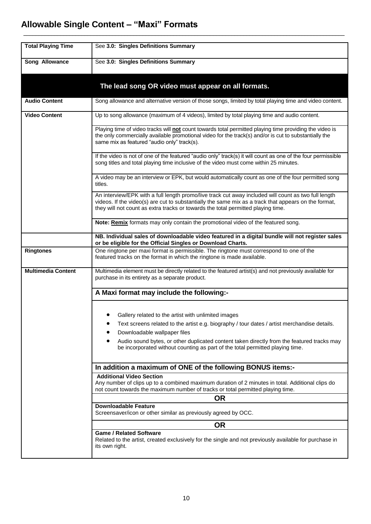### **Allowable Single Content – "Maxi" Formats**

| <b>Total Playing Time</b> | See 3.0: Singles Definitions Summary                                                                                                                                                                                                                                                             |
|---------------------------|--------------------------------------------------------------------------------------------------------------------------------------------------------------------------------------------------------------------------------------------------------------------------------------------------|
| Song Allowance            | See 3.0: Singles Definitions Summary                                                                                                                                                                                                                                                             |
|                           |                                                                                                                                                                                                                                                                                                  |
|                           | The lead song OR video must appear on all formats.                                                                                                                                                                                                                                               |
| <b>Audio Content</b>      | Song allowance and alternative version of those songs, limited by total playing time and video content.                                                                                                                                                                                          |
| <b>Video Content</b>      | Up to song allowance (maximum of 4 videos), limited by total playing time and audio content.                                                                                                                                                                                                     |
|                           | Playing time of video tracks will not count towards total permitted playing time providing the video is<br>the only commercially available promotional video for the track(s) and/or is cut to substantially the<br>same mix as featured "audio only" track(s).                                  |
|                           | If the video is not of one of the featured "audio only" track(s) it will count as one of the four permissible<br>song titles and total playing time inclusive of the video must come within 25 minutes.                                                                                          |
|                           | A video may be an interview or EPK, but would automatically count as one of the four permitted song<br>titles.                                                                                                                                                                                   |
|                           | An interview/EPK with a full length promo/live track cut away included will count as two full length<br>videos. If the video(s) are cut to substantially the same mix as a track that appears on the format,<br>they will not count as extra tracks or towards the total permitted playing time. |
|                           | Note: Remix formats may only contain the promotional video of the featured song.                                                                                                                                                                                                                 |
|                           | NB. Individual sales of downloadable video featured in a digital bundle will not register sales<br>or be eligible for the Official Singles or Download Charts.                                                                                                                                   |
| <b>Ringtones</b>          | One ringtone per maxi format is permissible. The ringtone must correspond to one of the<br>featured tracks on the format in which the ringtone is made available.                                                                                                                                |
| <b>Multimedia Content</b> | Multimedia element must be directly related to the featured artist(s) and not previously available for<br>purchase in its entirety as a separate product.                                                                                                                                        |
|                           | A Maxi format may include the following:-                                                                                                                                                                                                                                                        |
|                           | Gallery related to the artist with unlimited images                                                                                                                                                                                                                                              |
|                           | Text screens related to the artist e.g. biography / tour dates / artist merchandise details.<br>Downloadable wallpaper files                                                                                                                                                                     |
|                           | Audio sound bytes, or other duplicated content taken directly from the featured tracks may<br>be incorporated without counting as part of the total permitted playing time.                                                                                                                      |
|                           | In addition a maximum of ONE of the following BONUS items:-                                                                                                                                                                                                                                      |
|                           | <b>Additional Video Section</b><br>Any number of clips up to a combined maximum duration of 2 minutes in total. Additional clips do<br>not count towards the maximum number of tracks or total permitted playing time.                                                                           |
|                           | <b>OR</b><br><b>Downloadable Feature</b>                                                                                                                                                                                                                                                         |
|                           | Screensaver/icon or other similar as previously agreed by OCC.                                                                                                                                                                                                                                   |
|                           | <b>OR</b>                                                                                                                                                                                                                                                                                        |
|                           | <b>Game / Related Software</b><br>Related to the artist, created exclusively for the single and not previously available for purchase in<br>its own right.                                                                                                                                       |

 $\_$  ,  $\_$  ,  $\_$  ,  $\_$  ,  $\_$  ,  $\_$  ,  $\_$  ,  $\_$  ,  $\_$  ,  $\_$  ,  $\_$  ,  $\_$  ,  $\_$  ,  $\_$  ,  $\_$  ,  $\_$  ,  $\_$  ,  $\_$  ,  $\_$  ,  $\_$  ,  $\_$  ,  $\_$  ,  $\_$  ,  $\_$  ,  $\_$  ,  $\_$  ,  $\_$  ,  $\_$  ,  $\_$  ,  $\_$  ,  $\_$  ,  $\_$  ,  $\_$  ,  $\_$  ,  $\_$  ,  $\_$  ,  $\_$  ,